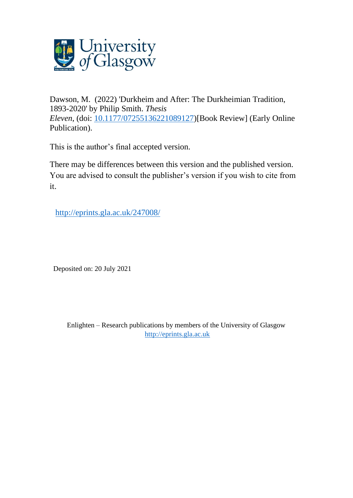

Dawson, M. (2022) 'Durkheim and After: The Durkheimian Tradition, 1893-2020' by Philip Smith. *Thesis Eleven*, (doi: [10.1177/07255136221089127\)](http://dx.doi.org/10.1177/07255136221089127)[Book Review] (Early Online Publication).

This is the author's final accepted version.

There may be differences between this version and the published version. You are advised to consult the publisher's version if you wish to cite from it.

<http://eprints.gla.ac.uk/247008/>

Deposited on: 20 July 2021

Enlighten – Research publications by members of the University of Glasgow [http://eprints.gla.ac.uk](http://eprints.gla.ac.uk/)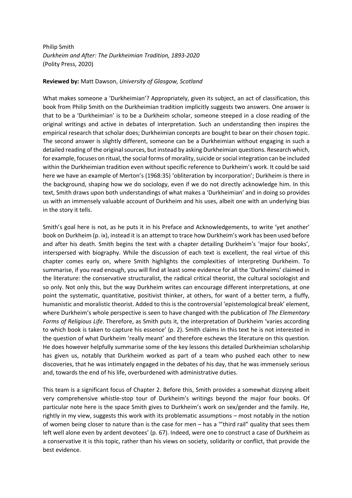Philip Smith *Durkheim and After: The Durkheimian Tradition, 1893-2020* (Polity Press, 2020)

## **Reviewed by:** Matt Dawson, *University of Glasgow, Scotland*

What makes someone a 'Durkheimian'? Appropriately, given its subject, an act of classification, this book from Philip Smith on the Durkheimian tradition implicitly suggests two answers. One answer is that to be a 'Durkheimian' is to be a Durkheim scholar, someone steeped in a close reading of the original writings and active in debates of interpretation. Such an understanding then inspires the empirical research that scholar does; Durkheimian concepts are bought to bear on their chosen topic. The second answer is slightly different, someone can be a Durkheimian without engaging in such a detailed reading of the original sources, but instead by asking Durkheimian questions. Research which, for example, focuses on ritual, the social forms of morality, suicide or social integration can be included within the Durkheimian tradition even without specific reference to Durkheim's work. It could be said here we have an example of Merton's (1968:35) 'obliteration by incorporation'; Durkheim is there in the background, shaping how we do sociology, even if we do not directly acknowledge him. In this text, Smith draws upon both understandings of what makes a 'Durkheimian' and in doing so provides us with an immensely valuable account of Durkheim and his uses, albeit one with an underlying bias in the story it tells.

Smith's goal here is not, as he puts it in his Preface and Acknowledgements, to write 'yet another' book on Durkheim (p. ix), instead it is an attempt to trace how Durkheim's work has been used before and after his death. Smith begins the text with a chapter detailing Durkheim's 'major four books', interspersed with biography. While the discussion of each text is excellent, the real virtue of this chapter comes early on, where Smith highlights the complexities of interpreting Durkheim. To summarise, if you read enough, you will find at least some evidence for all the 'Durkheims' claimed in the literature: the conservative structuralist, the radical critical theorist, the cultural sociologist and so only. Not only this, but the way Durkheim writes can encourage different interpretations, at one point the systematic, quantitative, positivist thinker, at others, for want of a better term, a fluffy, humanistic and moralistic theorist. Added to this is the controversial 'epistemological break' element, where Durkheim's whole perspective is seen to have changed with the publication of *The Elementary Forms of Religious Life*. Therefore, as Smith puts it, the interpretation of Durkheim 'varies according to which book is taken to capture his essence' (p. 2). Smith claims in this text he is not interested in the question of what Durkheim 'really meant' and therefore eschews the literature on this question. He does however helpfully summarise some of the key lessons this detailed Durkheimian scholarship has given us, notably that Durkheim worked as part of a team who pushed each other to new discoveries, that he was intimately engaged in the debates of his day, that he was immensely serious and, towards the end of his life, overburdened with administrative duties.

This team is a significant focus of Chapter 2. Before this, Smith provides a somewhat dizzying albeit very comprehensive whistle-stop tour of Durkheim's writings beyond the major four books. Of particular note here is the space Smith gives to Durkheim's work on sex/gender and the family. He, rightly in my view, suggests this work with its problematic assumptions – most notably in the notion of women being closer to nature than is the case for men – has a '"third rail" quality that sees them left well alone even by ardent devotees' (p. 67). Indeed, were one to construct a case of Durkheim as a conservative it is this topic, rather than his views on society, solidarity or conflict, that provide the best evidence.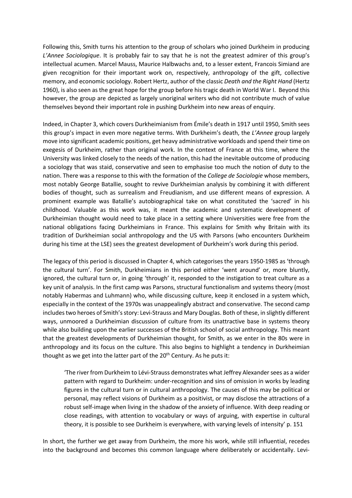Following this, Smith turns his attention to the group of scholars who joined Durkheim in producing *L'Annee Sociologique*. It is probably fair to say that he is not the greatest admirer of this group's intellectual acumen. Marcel Mauss, Maurice Halbwachs and, to a lesser extent, Francois Simiand are given recognition for their important work on, respectively, anthropology of the gift, collective memory, and economic sociology. Robert Hertz, author of the classic *Death and the Right Hand* (Hertz 1960), is also seen as the great hope for the group before his tragic death in World War I. Beyond this however, the group are depicted as largely unoriginal writers who did not contribute much of value themselves beyond their important role in pushing Durkheim into new areas of enquiry.

Indeed, in Chapter 3, which covers Durkheimianism from Émile's death in 1917 until 1950, Smith sees this group's impact in even more negative terms. With Durkheim's death, the *L'Annee* group largely move into significant academic positions, get heavy administrative workloads and spend their time on exegesis of Durkheim, rather than original work. In the context of France at this time, where the University was linked closely to the needs of the nation, this had the inevitable outcome of producing a sociology that was staid, conservative and seen to emphasise too much the notion of duty to the nation. There was a response to this with the formation of the *College de Sociologie* whose members, most notably George Batallie, sought to revive Durkheimian analysis by combining it with different bodies of thought, such as surrealism and Freudianism, and use different means of expression. A prominent example was Batallie's autobiographical take on what constituted the 'sacred' in his childhood. Valuable as this work was, it meant the academic and systematic development of Durkheimian thought would need to take place in a setting where Universities were free from the national obligations facing Durkheimians in France. This explains for Smith why Britain with its tradition of Durkheimian social anthropology and the US with Parsons (who encounters Durkheim during his time at the LSE) sees the greatest development of Durkheim's work during this period.

The legacy of this period is discussed in Chapter 4, which categorises the years 1950-1985 as 'through the cultural turn'. For Smith, Durkheimians in this period either 'went around' or, more bluntly, ignored, the cultural turn or, in going 'through' it, responded to the instigation to treat culture as a key unit of analysis. In the first camp was Parsons, structural functionalism and systems theory (most notably Habermas and Luhmann) who, while discussing culture, keep it enclosed in a system which, especially in the context of the 1970s was unappealingly abstract and conservative. The second camp includes two heroes of Smith's story: Levi-Strauss and Mary Douglas. Both of these, in slightly different ways, unmoored a Durkheimian discussion of culture from its unattractive base in systems theory while also building upon the earlier successes of the British school of social anthropology. This meant that the greatest developments of Durkheimian thought, for Smith, as we enter in the 80s were in anthropology and its focus on the culture. This also begins to highlight a tendency in Durkheimian thought as we get into the latter part of the  $20<sup>th</sup>$  Century. As he puts it:

'The river from Durkheim to Lévi-Strauss demonstrates what Jeffrey Alexander sees as a wider pattern with regard to Durkheim: under-recognition and sins of omission in works by leading figures in the cultural turn or in cultural anthropology. The causes of this may be political or personal, may reflect visions of Durkheim as a positivist, or may disclose the attractions of a robust self-image when living in the shadow of the anxiety of influence. With deep reading or close readings, with attention to vocabulary or ways of arguing, with expertise in cultural theory, it is possible to see Durkheim is everywhere, with varying levels of intensity' p. 151

In short, the further we get away from Durkheim, the more his work, while still influential, recedes into the background and becomes this common language where deliberately or accidentally. Levi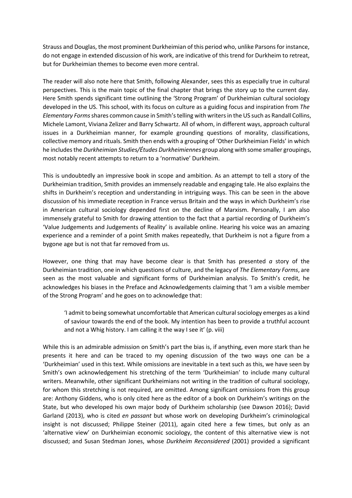Strauss and Douglas, the most prominent Durkheimian of this period who, unlike Parsons for instance, do not engage in extended discussion of his work, are indicative of this trend for Durkheim to retreat, but for Durkheimian themes to become even more central.

The reader will also note here that Smith, following Alexander, sees this as especially true in cultural perspectives. This is the main topic of the final chapter that brings the story up to the current day. Here Smith spends significant time outlining the 'Strong Program' of Durkheimian cultural sociology developed in the US. This school, with its focus on culture as a guiding focus and inspiration from *The Elementary Forms* shares common cause in Smith's telling with writers in the US such as Randall Collins, Michele Lamont, Viviana Zelizer and Barry Schwartz. All of whom, in different ways, approach cultural issues in a Durkheimian manner, for example grounding questions of morality, classifications, collective memory and rituals. Smith then ends with a grouping of 'Other Durkheimian Fields' in which he includes the *Durkheimian Studies/Études Durkheimiennes* group along with some smaller groupings, most notably recent attempts to return to a 'normative' Durkheim.

This is undoubtedly an impressive book in scope and ambition. As an attempt to tell a story of the Durkheimian tradition, Smith provides an immensely readable and engaging tale. He also explains the shifts in Durkheim's reception and understanding in intriguing ways. This can be seen in the above discussion of his immediate reception in France versus Britain and the ways in which Durkheim's rise in American cultural sociology depended first on the decline of Marxism. Personally, I am also immensely grateful to Smith for drawing attention to the fact that a partial recording of Durkheim's 'Value Judgements and Judgements of Reality' is available online. Hearing his voice was an amazing experience and a reminder of a point Smith makes repeatedly, that Durkheim is not a figure from a bygone age but is not that far removed from us.

However, one thing that may have become clear is that Smith has presented *a* story of the Durkheimian tradition, one in which questions of culture, and the legacy of *The Elementary Forms*, are seen as the most valuable and significant forms of Durkheimian analysis. To Smith's credit, he acknowledges his biases in the Preface and Acknowledgements claiming that 'I am a visible member of the Strong Program' and he goes on to acknowledge that:

'I admit to being somewhat uncomfortable that American cultural sociology emerges as a kind of saviour towards the end of the book. My intention has been to provide a truthful account and not a Whig history. I am calling it the way I see it' (p. viii)

While this is an admirable admission on Smith's part the bias is, if anything, even more stark than he presents it here and can be traced to my opening discussion of the two ways one can be a 'Durkheimian' used in this text. While omissions are inevitable in a text such as this, we have seen by Smith's own acknowledgement his stretching of the term 'Durkheimian' to include many cultural writers. Meanwhile, other significant Durkheimians not writing in the tradition of cultural sociology, for whom this stretching is not required, are omitted. Among significant omissions from this group are: Anthony Giddens, who is only cited here as the editor of a book on Durkheim's writings on the State, but who developed his own major body of Durkheim scholarship (see Dawson 2016); David Garland (2013), who is cited *en passant* but whose work on developing Durkheim's criminological insight is not discussed; Philippe Steiner (2011), again cited here a few times, but only as an 'alternative view' on Durkheimian economic sociology, the content of this alternative view is not discussed; and Susan Stedman Jones, whose *Durkheim Reconsidered* (2001) provided a significant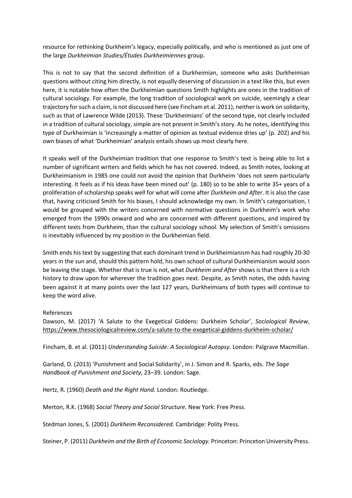resource for rethinking Durkheim's legacy, especially politically, and who is mentioned as just one of the large *Durkheimian Studies/Études Durkheimiennes* group.

This is not to say that the second definition of a Durkheimian, someone who asks Durkheimian questions without citing him directly, is not equally deserving of discussion in a text like this, but even here, it is notable how often the Durkheimian questions Smith highlights are ones in the tradition of cultural sociology. For example, the long tradition of sociological work on suicide, seemingly a clear trajectory for such a claim, is not discussed here (see Fincham et al. 2011), neither is work on solidarity, such as that of Lawrence Wilde (2013). These 'Durkheimians' of the second type, not clearly included in a tradition of cultural sociology, simple are not present in Smith's story. As he notes, identifying this type of Durkheimian is 'increasingly a matter of opinion as textual evidence dries up' (p. 202) and his own biases of what 'Durkheimian' analysis entails shows up most clearly here.

It speaks well of the Durkheimian tradition that one response to Smith's text is being able to list a number of significant writers and fields which he has not covered. Indeed, as Smith notes, looking at Durkheimianism in 1985 one could not avoid the opinion that Durkheim 'does not seem particularly interesting. It feels as if his ideas have been mined out' (p. 180) so to be able to write 35+ years of a proliferation of scholarship speaks well for what will come after *Durkheim and After*. It is also the case that, having criticised Smith for his biases, I should acknowledge my own. In Smith's categorisation, I would be grouped with the writers concerned with normative questions in Durkheim's work who emerged from the 1990s onward and who are concerned with different questions, and inspired by different texts from Durkheim, than the cultural sociology school. My selection of Smith's omissions is inevitably influenced by my position in the Durkheimian field.

Smith ends his text by suggesting that each dominant trend in Durkheimianism has had roughly 20-30 years in the sun and, should this pattern hold, his own school of cultural Durkheimianism would soon be leaving the stage. Whether that is true is not, what *Durkheim and After* shows is that there is a rich history to draw upon for wherever the tradition goes next. Despite, as Smith notes, the odds having been against it at many points over the last 127 years, Durkheimians of both types will continue to keep the word alive.

## References

Dawson, M. (2017) 'A Salute to the Exegetical Giddens: Durkheim Scholar', *Sociological Review*, https://www.thesociologicalreview.com/a-salute-to-the-exegetical-giddens-durkheim-scholar/

Fincham, B. et al. (2011) *Understanding Suicide: A Sociological Autopsy.* London: Palgrave Macmillan.

Garland, D. (2013) 'Punishment and Social Solidarity', in J. Simon and R. Sparks, eds. *The Sage Handbook of Punishment and Society*, 23–39. London: Sage.

Hertz, R. (1960) *Death and the Right Hand.* London: Routledge.

Merton, R.K. (1968) *Social Theory and Social Structure.* New York: Free Press.

Stedman Jones, S. (2001) *Durkheim Reconsidered.* Cambridge: Polity Press.

Steiner, P. (2011) *Durkheim and the Birth of Economic Sociology.* Princeton: Princeton University Press.